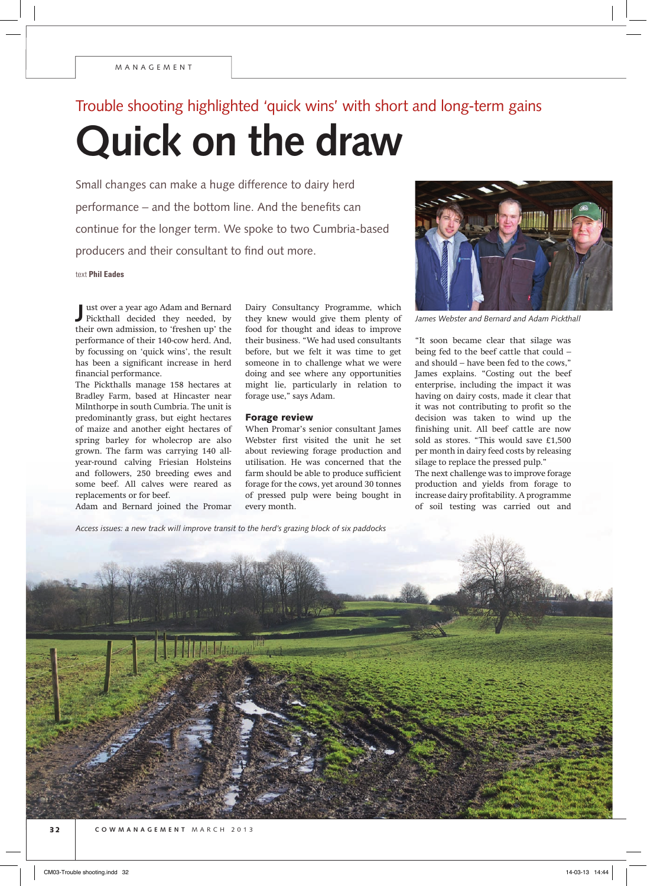## Trouble shooting highlighted 'quick wins' with short and long-term gains

**Quick on the draw**

Small changes can make a huge difference to dairy herd performance – and the bottom line. And the benefits can continue for the longer term. We spoke to two Cumbria-based producers and their consultant to find out more.

text **Phil Eades**

**J** Pickthall decided they needed, by ust over a year ago Adam and Bernard their own admission, to 'freshen up' the performance of their 140-cow herd. And, by focussing on 'quick wins', the result has been a significant increase in herd financial performance.

The Pickthalls manage 158 hectares at Bradley Farm, based at Hincaster near Milnthorpe in south Cumbria. The unit is predominantly grass, but eight hectares of maize and another eight hectares of spring barley for wholecrop are also grown. The farm was carrying 140 allyear-round calving Friesian Holsteins and followers, 250 breeding ewes and some beef. All calves were reared as replacements or for beef.

Adam and Bernard joined the Promar

Dairy Consultancy Programme, which they knew would give them plenty of food for thought and ideas to improve their business. "We had used consultants before, but we felt it was time to get someone in to challenge what we were doing and see where any opportunities might lie, particularly in relation to forage use," says Adam.

## Forage review

When Promar's senior consultant James Webster first visited the unit he set about reviewing forage production and utilisation. He was concerned that the farm should be able to produce sufficient forage for the cows, yet around 30 tonnes of pressed pulp were being bought in every month.



*James Webster and Bernard and Adam Pickthall*

"It soon became clear that silage was being fed to the beef cattle that could – and should – have been fed to the cows," James explains. "Costing out the beef enterprise, including the impact it was having on dairy costs, made it clear that it was not contributing to profit so the decision was taken to wind up the finishing unit. All beef cattle are now sold as stores. "This would save £1,500 per month in dairy feed costs by releasing silage to replace the pressed pulp."

The next challenge was to improve forage production and yields from forage to increase dairy profitability. A programme of soil testing was carried out and

*Access issues: a new track will improve transit to the herd's grazing block of six paddocks*